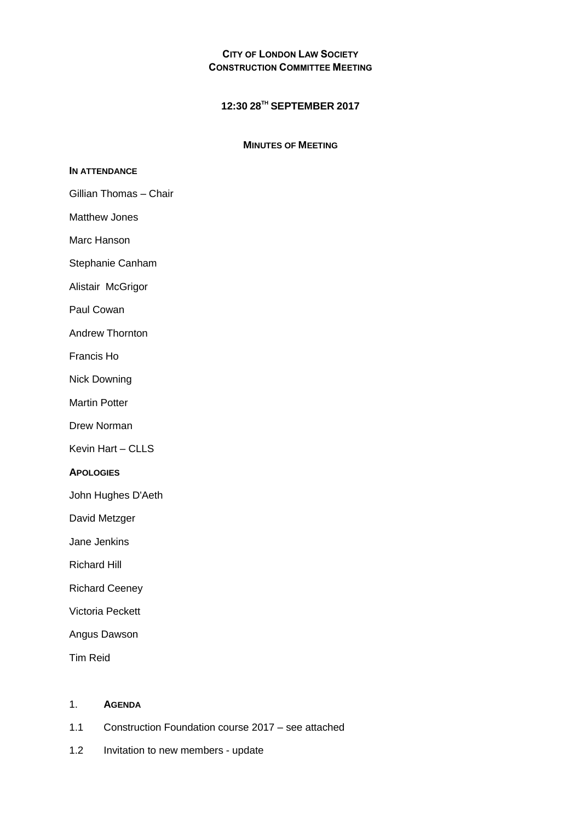# **CITY OF LONDON LAW SOCIETY CONSTRUCTION COMMITTEE MEETING**

# **12:30 28TH SEPTEMBER 2017**

# **MINUTES OF MEETING**

# **IN ATTENDANCE**

- Gillian Thomas Chair
- Matthew Jones
- Marc Hanson
- Stephanie Canham
- Alistair McGrigor
- Paul Cowan
- Andrew Thornton
- Francis Ho
- Nick Downing
- Martin Potter
- Drew Norman
- Kevin Hart CLLS

#### **APOLOGIES**

- John Hughes D'Aeth
- David Metzger
- Jane Jenkins
- Richard Hill
- Richard Ceeney
- Victoria Peckett
- Angus Dawson
- Tim Reid

#### 1. **AGENDA**

- 1.1 Construction Foundation course 2017 see attached
- 1.2 Invitation to new members update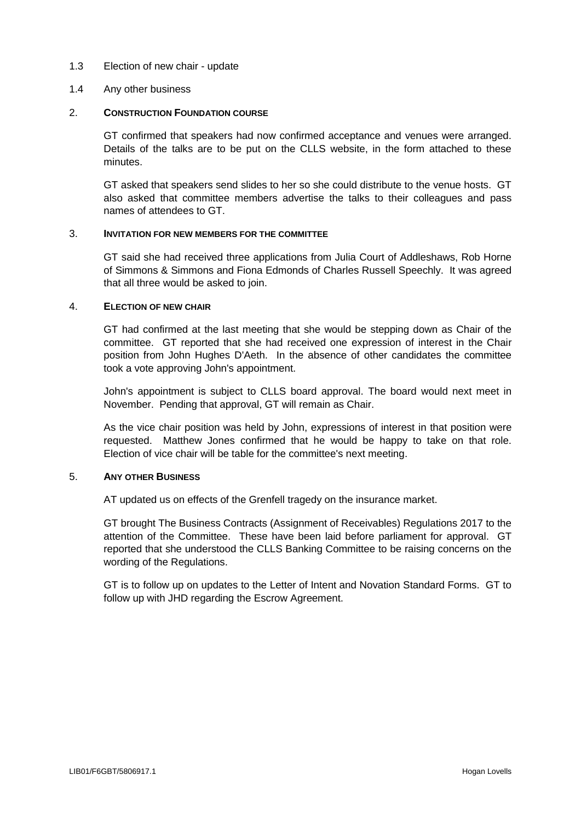# 1.3 Election of new chair - update

# 1.4 Any other business

# 2. **CONSTRUCTION FOUNDATION COURSE**

GT confirmed that speakers had now confirmed acceptance and venues were arranged. Details of the talks are to be put on the CLLS website, in the form attached to these minutes.

GT asked that speakers send slides to her so she could distribute to the venue hosts. GT also asked that committee members advertise the talks to their colleagues and pass names of attendees to GT.

# 3. **INVITATION FOR NEW MEMBERS FOR THE COMMITTEE**

GT said she had received three applications from Julia Court of Addleshaws, Rob Horne of Simmons & Simmons and Fiona Edmonds of Charles Russell Speechly. It was agreed that all three would be asked to join.

# 4. **ELECTION OF NEW CHAIR**

GT had confirmed at the last meeting that she would be stepping down as Chair of the committee. GT reported that she had received one expression of interest in the Chair position from John Hughes D'Aeth. In the absence of other candidates the committee took a vote approving John's appointment.

John's appointment is subject to CLLS board approval. The board would next meet in November. Pending that approval, GT will remain as Chair.

As the vice chair position was held by John, expressions of interest in that position were requested. Matthew Jones confirmed that he would be happy to take on that role. Election of vice chair will be table for the committee's next meeting.

#### 5. **ANY OTHER BUSINESS**

AT updated us on effects of the Grenfell tragedy on the insurance market.

GT brought The Business Contracts (Assignment of Receivables) Regulations 2017 to the attention of the Committee. These have been laid before parliament for approval. GT reported that she understood the CLLS Banking Committee to be raising concerns on the wording of the Regulations.

GT is to follow up on updates to the Letter of Intent and Novation Standard Forms. GT to follow up with JHD regarding the Escrow Agreement.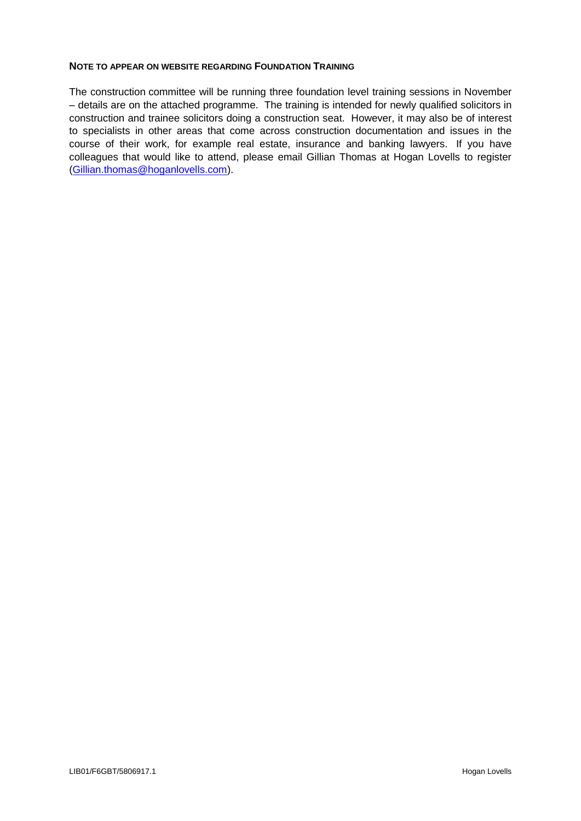# **NOTE TO APPEAR ON WEBSITE REGARDING FOUNDATION TRAINING**

The construction committee will be running three foundation level training sessions in November – details are on the attached programme. The training is intended for newly qualified solicitors in construction and trainee solicitors doing a construction seat. However, it may also be of interest to specialists in other areas that come across construction documentation and issues in the course of their work, for example real estate, insurance and banking lawyers. If you have colleagues that would like to attend, please email Gillian Thomas at Hogan Lovells to register [\(Gillian.thomas@hoganlovells.com\)](mailto:Gillian.thomas@hoganlovells.com).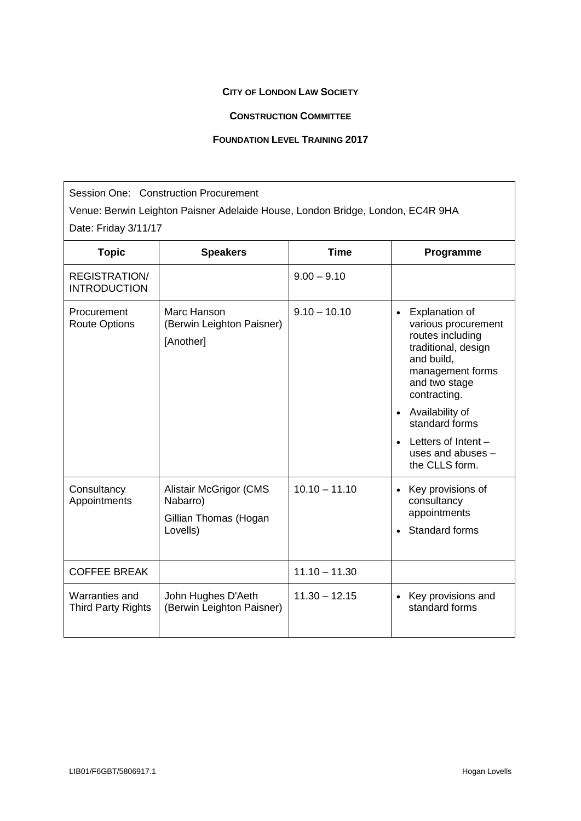# **CITY OF LONDON LAW SOCIETY**

# **CONSTRUCTION COMMITTEE**

# **FOUNDATION LEVEL TRAINING 2017**

Session One: Construction Procurement Venue: Berwin Leighton Paisner Adelaide House, London Bridge, London, EC4R 9HA Date: Friday 3/11/17

| <b>Topic</b>                                | <b>Speakers</b>                                                                | <b>Time</b>     | Programme                                                                                                                                                                                                                                                                                            |
|---------------------------------------------|--------------------------------------------------------------------------------|-----------------|------------------------------------------------------------------------------------------------------------------------------------------------------------------------------------------------------------------------------------------------------------------------------------------------------|
| <b>REGISTRATION/</b><br><b>INTRODUCTION</b> |                                                                                | $9.00 - 9.10$   |                                                                                                                                                                                                                                                                                                      |
| Procurement<br><b>Route Options</b>         | Marc Hanson<br>(Berwin Leighton Paisner)<br>[Another]                          | $9.10 - 10.10$  | <b>Explanation of</b><br>$\bullet$<br>various procurement<br>routes including<br>traditional, design<br>and build,<br>management forms<br>and two stage<br>contracting.<br>Availability of<br>$\bullet$<br>standard forms<br>Letters of Intent -<br>$\bullet$<br>uses and abuses -<br>the CLLS form. |
| Consultancy<br>Appointments                 | <b>Alistair McGrigor (CMS</b><br>Nabarro)<br>Gillian Thomas (Hogan<br>Lovells) | $10.10 - 11.10$ | Key provisions of<br>$\bullet$<br>consultancy<br>appointments<br>Standard forms<br>$\bullet$                                                                                                                                                                                                         |
| <b>COFFEE BREAK</b>                         |                                                                                | $11.10 - 11.30$ |                                                                                                                                                                                                                                                                                                      |
| Warranties and<br><b>Third Party Rights</b> | John Hughes D'Aeth<br>(Berwin Leighton Paisner)                                | $11.30 - 12.15$ | Key provisions and<br>standard forms                                                                                                                                                                                                                                                                 |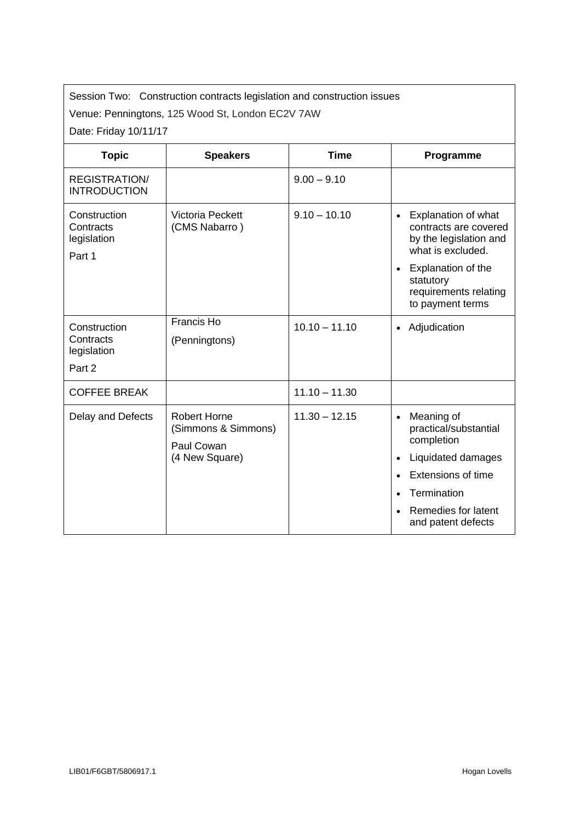Session Two: Construction contracts legislation and construction issues

Venue: Penningtons, 125 Wood St, London EC2V 7AW

Date: Friday 10/11/17

| <b>Topic</b>                                       | <b>Speakers</b>                                                            | <b>Time</b>     | Programme                                                                                                                                                                                       |
|----------------------------------------------------|----------------------------------------------------------------------------|-----------------|-------------------------------------------------------------------------------------------------------------------------------------------------------------------------------------------------|
| <b>REGISTRATION/</b><br><b>INTRODUCTION</b>        |                                                                            | $9.00 - 9.10$   |                                                                                                                                                                                                 |
| Construction<br>Contracts<br>legislation<br>Part 1 | Victoria Peckett<br>(CMS Nabarro)                                          | $9.10 - 10.10$  | Explanation of what<br>$\bullet$<br>contracts are covered<br>by the legislation and<br>what is excluded.<br><b>Explanation of the</b><br>statutory<br>requirements relating<br>to payment terms |
| Construction<br>Contracts<br>legislation<br>Part 2 | Francis Ho<br>(Penningtons)                                                | $10.10 - 11.10$ | Adjudication<br>$\bullet$                                                                                                                                                                       |
| <b>COFFEE BREAK</b>                                |                                                                            | $11.10 - 11.30$ |                                                                                                                                                                                                 |
| Delay and Defects                                  | <b>Robert Horne</b><br>(Simmons & Simmons)<br>Paul Cowan<br>(4 New Square) | $11.30 - 12.15$ | Meaning of<br>practical/substantial<br>completion<br>Liquidated damages<br>Extensions of time<br>Termination<br>Remedies for latent<br>and patent defects                                       |